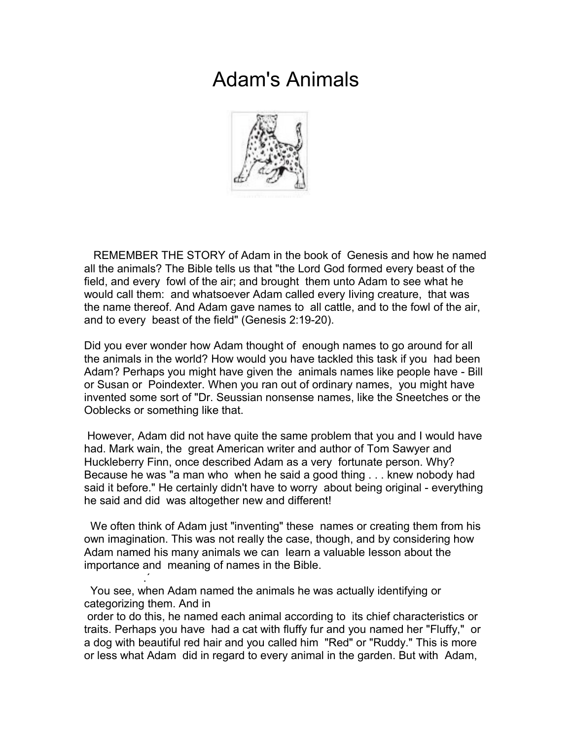## Adam's Animals



 REMEMBER THE STORY of Adam in the book of Genesis and how he named all the animals? The Bible tells us that "the Lord God formed every beast of the field, and every fowl of the air; and brought them unto Adam to see what he would call them: and whatsoever Adam called every Iiving creature, that was the name thereof. And Adam gave names to all cattle, and to the fowl of the air, and to every beast of the field" (Genesis 2:19-20).

Did you ever wonder how Adam thought of enough names to go around for all the animals in the world? How would you have tackled this task if you had been Adam? Perhaps you might have given the animals names like people have - Bill or Susan or Poindexter. When you ran out of ordinary names, you might have invented some sort of "Dr. Seussian nonsense names, like the Sneetches or the Ooblecks or something like that.

 However, Adam did not have quite the same problem that you and I would have had. Mark wain, the great American writer and author of Tom Sawyer and Huckleberry Finn, once described Adam as a very fortunate person. Why? Because he was "a man who when he said a good thing . . . knew nobody had said it before." He certainly didn't have to worry about being original - everything he said and did was altogether new and different!

 We often think of Adam just "inventing" these names or creating them from his own imagination. This was not really the case, though, and by considering how Adam named his many animals we can Iearn a valuable Iesson about the importance and meaning of names in the Bible.

 You see, when Adam named the animals he was actually identifying or categorizing them. And in

.´

 order to do this, he named each animal according to its chief characteristics or traits. Perhaps you have had a cat with fluffy fur and you named her "Fluffy," or a dog with beautiful red hair and you called him "Red" or "Ruddy." This is more or less what Adam did in regard to every animal in the garden. But with Adam,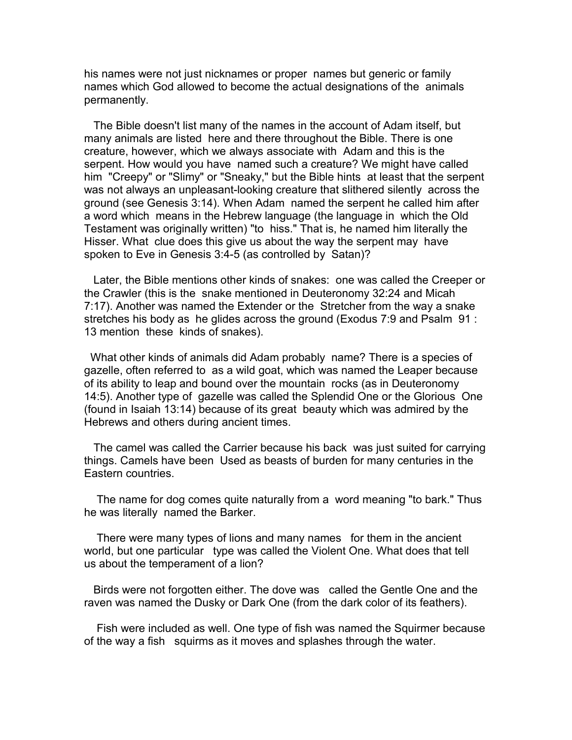his names were not just nicknames or proper names but generic or family names which God allowed to become the actual designations of the animals permanently.

 The Bible doesn't list many of the names in the account of Adam itself, but many animals are listed here and there throughout the Bible. There is one creature, however, which we always associate with Adam and this is the serpent. How would you have named such a creature? We might have called him "Creepy" or "Slimy" or "Sneaky," but the Bible hints at least that the serpent was not always an unpleasant-looking creature that slithered silently across the ground (see Genesis 3:14). When Adam named the serpent he called him after a word which means in the Hebrew language (the language in which the Old Testament was originally written) "to hiss." That is, he named him literally the Hisser. What clue does this give us about the way the serpent may have spoken to Eve in Genesis 3:4-5 (as controlled by Satan)?

 Later, the Bible mentions other kinds of snakes: one was called the Creeper or the Crawler (this is the snake mentioned in Deuteronomy 32:24 and Micah 7:17). Another was named the Extender or the Stretcher from the way a snake stretches his body as he glides across the ground (Exodus 7:9 and Psalm 91 : 13 mention these kinds of snakes).

 What other kinds of animals did Adam probably name? There is a species of gazelle, often referred to as a wild goat, which was named the Leaper because of its ability to leap and bound over the mountain rocks (as in Deuteronomy 14:5). Another type of gazelle was called the Splendid One or the Glorious One (found in Isaiah 13:14) because of its great beauty which was admired by the Hebrews and others during ancient times.

 The camel was called the Carrier because his back was just suited for carrying things. Camels have been Used as beasts of burden for many centuries in the Eastern countries.

 The name for dog comes quite naturally from a word meaning "to bark." Thus he was literally named the Barker.

 There were many types of lions and many names for them in the ancient world, but one particular type was called the Violent One. What does that tell us about the temperament of a lion?

 Birds were not forgotten either. The dove was called the Gentle One and the raven was named the Dusky or Dark One (from the dark color of its feathers).

 Fish were included as well. One type of fish was named the Squirmer because of the way a fish squirms as it moves and splashes through the water.